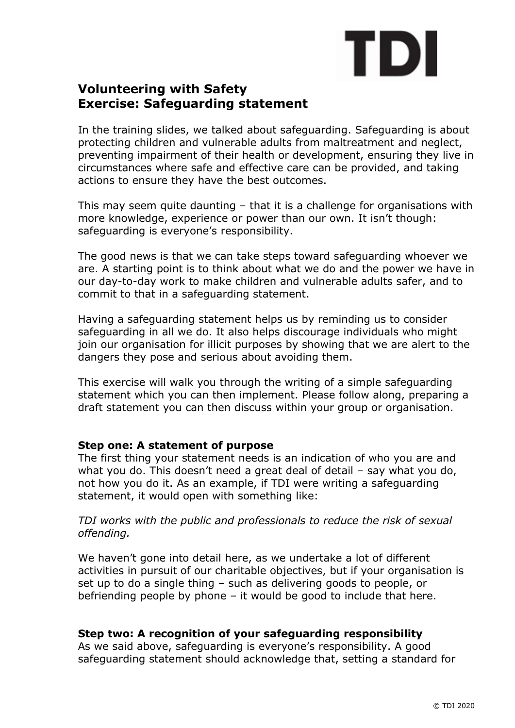# TDI

# **Volunteering with Safety Exercise: Safeguarding statement**

In the training slides, we talked about safeguarding. Safeguarding is about protecting children and vulnerable adults from maltreatment and neglect, preventing impairment of their health or development, ensuring they live in circumstances where safe and effective care can be provided, and taking actions to ensure they have the best outcomes.

This may seem quite daunting – that it is a challenge for organisations with more knowledge, experience or power than our own. It isn't though: safeguarding is everyone's responsibility.

The good news is that we can take steps toward safeguarding whoever we are. A starting point is to think about what we do and the power we have in our day-to-day work to make children and vulnerable adults safer, and to commit to that in a safeguarding statement.

Having a safeguarding statement helps us by reminding us to consider safeguarding in all we do. It also helps discourage individuals who might join our organisation for illicit purposes by showing that we are alert to the dangers they pose and serious about avoiding them.

This exercise will walk you through the writing of a simple safeguarding statement which you can then implement. Please follow along, preparing a draft statement you can then discuss within your group or organisation.

# **Step one: A statement of purpose**

The first thing your statement needs is an indication of who you are and what you do. This doesn't need a great deal of detail – say what you do, not how you do it. As an example, if TDI were writing a safeguarding statement, it would open with something like:

*TDI works with the public and professionals to reduce the risk of sexual offending.*

We haven't gone into detail here, as we undertake a lot of different activities in pursuit of our charitable objectives, but if your organisation is set up to do a single thing – such as delivering goods to people, or befriending people by phone – it would be good to include that here.

# **Step two: A recognition of your safeguarding responsibility**

As we said above, safeguarding is everyone's responsibility. A good safeguarding statement should acknowledge that, setting a standard for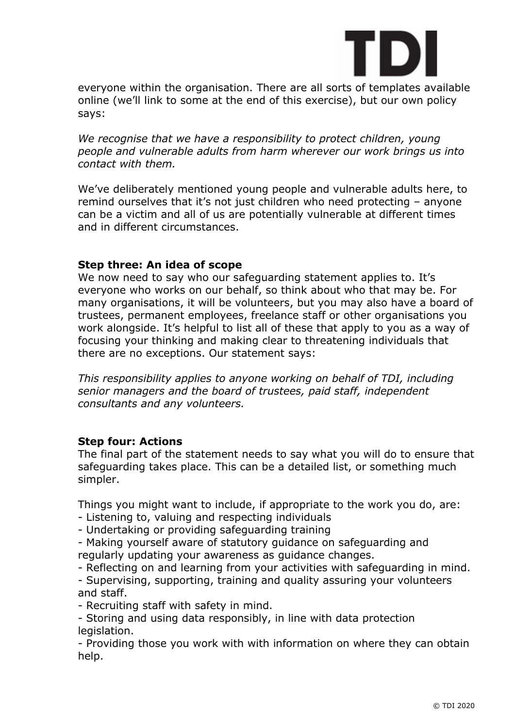

everyone within the organisation. There are all sorts of templates available online (we'll link to some at the end of this exercise), but our own policy says:

We recognise that we have a responsibility to protect children, young *people and vulnerable adults from harm wherever our work brings us into contact with them.*

We've deliberately mentioned young people and vulnerable adults here, to remind ourselves that it's not just children who need protecting – anyone can be a victim and all of us are potentially vulnerable at different times and in different circumstances.

### **Step three: An idea of scope**

We now need to say who our safeguarding statement applies to. It's everyone who works on our behalf, so think about who that may be. For many organisations, it will be volunteers, but you may also have a board of trustees, permanent employees, freelance staff or other organisations you work alongside. It's helpful to list all of these that apply to you as a way of focusing your thinking and making clear to threatening individuals that there are no exceptions. Our statement says:

*This responsibility applies to anyone working on behalf of TDI, including senior managers and the board of trustees, paid staff, independent consultants and any volunteers.* 

### **Step four: Actions**

The final part of the statement needs to say what you will do to ensure that safeguarding takes place. This can be a detailed list, or something much simpler.

Things you might want to include, if appropriate to the work you do, are:

- Listening to, valuing and respecting individuals

- Undertaking or providing safeguarding training

- Making yourself aware of statutory guidance on safeguarding and regularly updating your awareness as guidance changes.

- Reflecting on and learning from your activities with safeguarding in mind.

- Supervising, supporting, training and quality assuring your volunteers and staff.

- Recruiting staff with safety in mind.

- Storing and using data responsibly, in line with data protection legislation.

- Providing those you work with with information on where they can obtain help.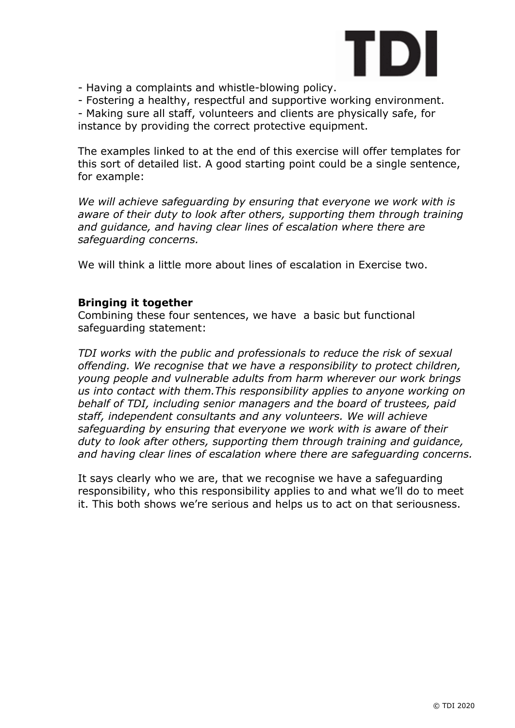

- Having a complaints and whistle-blowing policy.

- Fostering a healthy, respectful and supportive working environment.

- Making sure all staff, volunteers and clients are physically safe, for instance by providing the correct protective equipment.

The examples linked to at the end of this exercise will offer templates for this sort of detailed list. A good starting point could be a single sentence, for example:

*We will achieve safeguarding by ensuring that everyone we work with is aware of their duty to look after others, supporting them through training and guidance, and having clear lines of escalation where there are safeguarding concerns.*

We will think a little more about lines of escalation in Exercise two.

### **Bringing it together**

Combining these four sentences, we have a basic but functional safeguarding statement:

*TDI works with the public and professionals to reduce the risk of sexual offending. We recognise that we have a responsibility to protect children, young people and vulnerable adults from harm wherever our work brings us into contact with them.This responsibility applies to anyone working on behalf of TDI, including senior managers and the board of trustees, paid staff, independent consultants and any volunteers. We will achieve safeguarding by ensuring that everyone we work with is aware of their duty to look after others, supporting them through training and guidance, and having clear lines of escalation where there are safeguarding concerns.*

It says clearly who we are, that we recognise we have a safeguarding responsibility, who this responsibility applies to and what we'll do to meet it. This both shows we're serious and helps us to act on that seriousness.